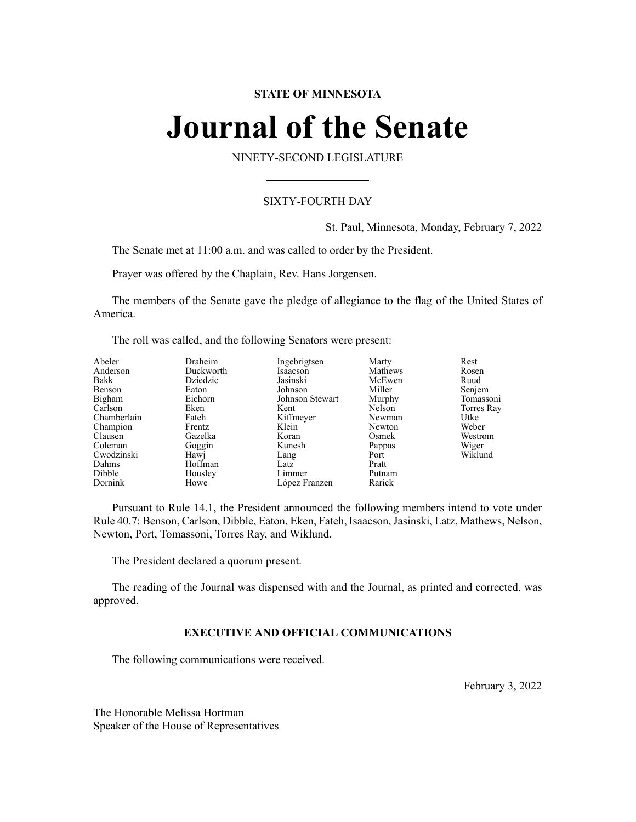# **STATE OF MINNESOTA**

# **Journal of the Senate**

NINETY-SECOND LEGISLATURE

# SIXTY-FOURTH DAY

St. Paul, Minnesota, Monday, February 7, 2022

The Senate met at 11:00 a.m. and was called to order by the President.

Prayer was offered by the Chaplain, Rev. Hans Jorgensen.

The members of the Senate gave the pledge of allegiance to the flag of the United States of America.

The roll was called, and the following Senators were present:

| Abeler      | Draheim   | Ingebrigtsen    | Marty   | Rest       |
|-------------|-----------|-----------------|---------|------------|
| Anderson    | Duckworth | Isaacson        | Mathews | Rosen      |
| Bakk        | Dziedzic  | Jasinski        | McEwen  | Ruud       |
| Benson      | Eaton     | Johnson         | Miller  | Senjem     |
| Bigham      | Eichorn   | Johnson Stewart | Murphy  | Tomassoni  |
| Carlson     | Eken      | Kent            | Nelson  | Torres Ray |
| Chamberlain | Fateh     | Kiffmeyer       | Newman  | Utke       |
| Champion    | Frentz    | Klein           | Newton  | Weber      |
| Clausen     | Gazelka   | Koran           | Osmek   | Westrom    |
| Coleman     | Goggin    | Kunesh          | Pappas  | Wiger      |
| Cwodzinski  | Hawj      | Lang            | Port    | Wiklund    |
| Dahms       | Hoffman   | Latz            | Pratt   |            |
| Dibble      | Housley   | Limmer          | Putnam  |            |
| Dornink     | Howe      | López Franzen   | Rarick  |            |

Pursuant to Rule 14.1, the President announced the following members intend to vote under Rule 40.7: Benson, Carlson, Dibble, Eaton, Eken, Fateh, Isaacson,Jasinski, Latz, Mathews, Nelson, Newton, Port, Tomassoni, Torres Ray, and Wiklund.

The President declared a quorum present.

The reading of the Journal was dispensed with and the Journal, as printed and corrected, was approved.

# **EXECUTIVE AND OFFICIAL COMMUNICATIONS**

The following communications were received.

February 3, 2022

The Honorable Melissa Hortman Speaker of the House of Representatives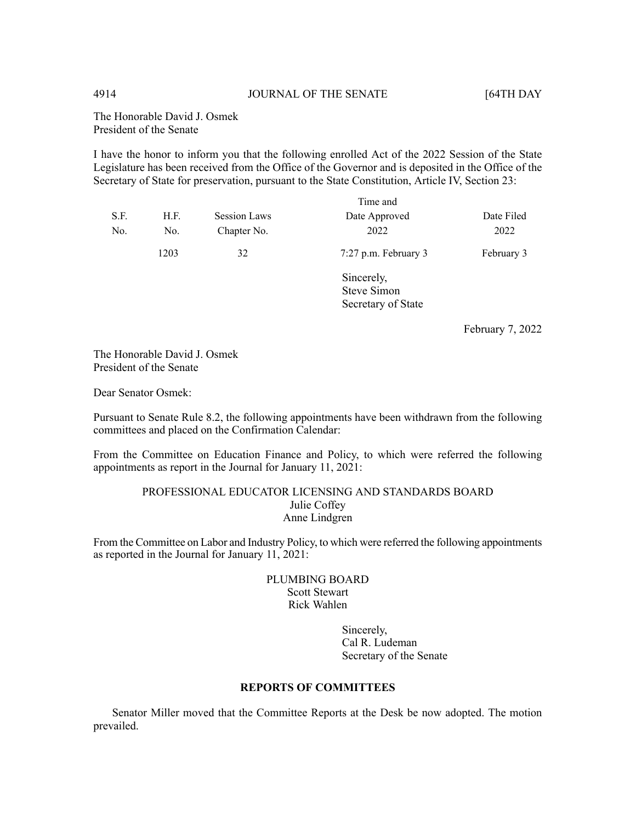The Honorable David J. Osmek President of the Senate

I have the honor to inform you that the following enrolled Act of the 2022 Session of the State Legislature has been received from the Office of the Governor and is deposited in the Office of the Secretary of State for preservation, pursuant to the State Constitution, Article IV, Section 23:

|      |      |                     | Time and                         |            |
|------|------|---------------------|----------------------------------|------------|
| S.F. | H.F. | <b>Session Laws</b> | Date Approved                    | Date Filed |
| No.  | No.  | Chapter No.         | 2022                             | 2022       |
|      | 1203 | 32                  | 7:27 p.m. February 3             | February 3 |
|      |      |                     | Sincerely,<br><b>Steve Simon</b> |            |
|      |      |                     |                                  |            |
|      |      | Secretary of State  |                                  |            |

February 7, 2022

The Honorable David J. Osmek President of the Senate

Dear Senator Osmek:

Pursuant to Senate Rule 8.2, the following appointments have been withdrawn from the following committees and placed on the Confirmation Calendar:

From the Committee on Education Finance and Policy, to which were referred the following appointments as report in the Journal for January 11, 2021:

# PROFESSIONAL EDUCATOR LICENSING AND STANDARDS BOARD Julie Coffey Anne Lindgren

From the Committee on Labor and Industry Policy, to which were referred the following appointments as reported in the Journal for January 11, 2021:

# PLUMBING BOARD Scott Stewart Rick Wahlen

Sincerely, Cal R. Ludeman Secretary of the Senate

# **REPORTS OF COMMITTEES**

Senator Miller moved that the Committee Reports at the Desk be now adopted. The motion prevailed.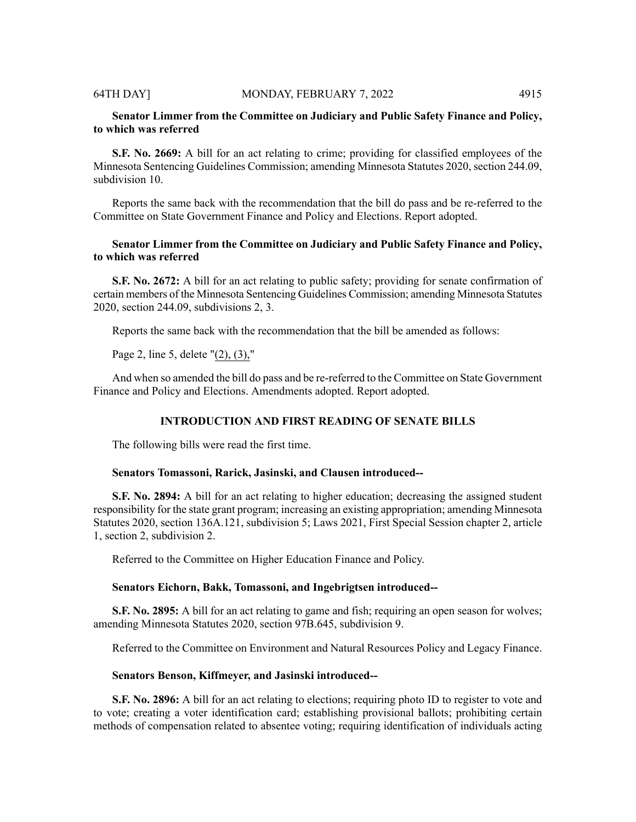# **Senator Limmer from the Committee on Judiciary and Public Safety Finance and Policy, to which was referred**

**S.F. No. 2669:** A bill for an act relating to crime; providing for classified employees of the Minnesota Sentencing Guidelines Commission; amending Minnesota Statutes 2020, section 244.09, subdivision 10.

Reports the same back with the recommendation that the bill do pass and be re-referred to the Committee on State Government Finance and Policy and Elections. Report adopted.

# **Senator Limmer from the Committee on Judiciary and Public Safety Finance and Policy, to which was referred**

**S.F. No. 2672:** A bill for an act relating to public safety; providing for senate confirmation of certain members of the Minnesota Sentencing Guidelines Commission; amending Minnesota Statutes 2020, section 244.09, subdivisions 2, 3.

Reports the same back with the recommendation that the bill be amended as follows:

Page 2, line 5, delete "(2), (3),"

And when so amended the bill do pass and be re-referred to the Committee on State Government Finance and Policy and Elections. Amendments adopted. Report adopted.

# **INTRODUCTION AND FIRST READING OF SENATE BILLS**

The following bills were read the first time.

### **Senators Tomassoni, Rarick, Jasinski, and Clausen introduced--**

**S.F. No. 2894:** A bill for an act relating to higher education; decreasing the assigned student responsibility for the state grant program; increasing an existing appropriation; amending Minnesota Statutes 2020, section 136A.121, subdivision 5; Laws 2021, First Special Session chapter 2, article 1, section 2, subdivision 2.

Referred to the Committee on Higher Education Finance and Policy.

### **Senators Eichorn, Bakk, Tomassoni, and Ingebrigtsen introduced--**

**S.F. No. 2895:** A bill for an act relating to game and fish; requiring an open season for wolves; amending Minnesota Statutes 2020, section 97B.645, subdivision 9.

Referred to the Committee on Environment and Natural Resources Policy and Legacy Finance.

### **Senators Benson, Kiffmeyer, and Jasinski introduced--**

**S.F. No. 2896:** A bill for an act relating to elections; requiring photo ID to register to vote and to vote; creating a voter identification card; establishing provisional ballots; prohibiting certain methods of compensation related to absentee voting; requiring identification of individuals acting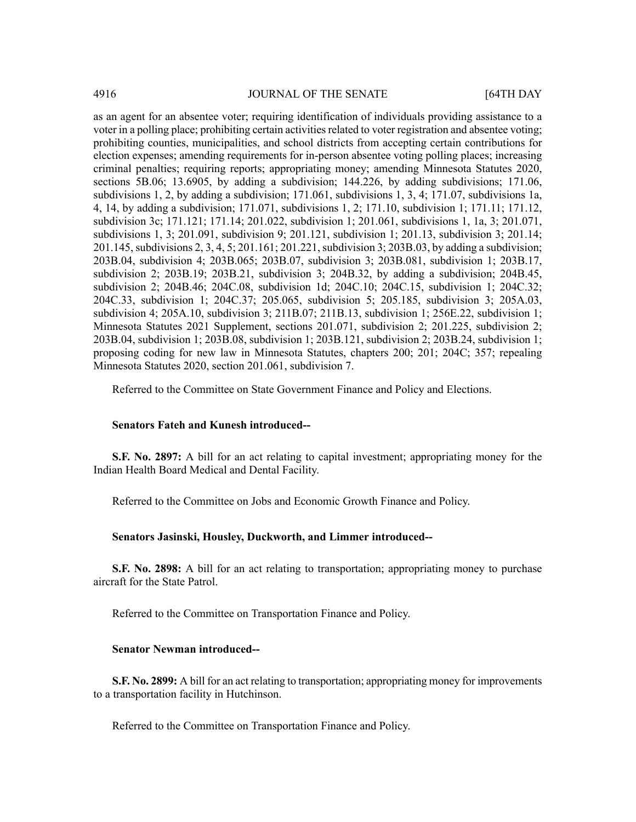as an agent for an absentee voter; requiring identification of individuals providing assistance to a voter in a polling place; prohibiting certain activities related to voter registration and absentee voting; prohibiting counties, municipalities, and school districts from accepting certain contributions for election expenses; amending requirements for in-person absentee voting polling places; increasing criminal penalties; requiring reports; appropriating money; amending Minnesota Statutes 2020, sections 5B.06; 13.6905, by adding a subdivision; 144.226, by adding subdivisions; 171.06, subdivisions 1, 2, by adding a subdivision; 171.061, subdivisions 1, 3, 4; 171.07, subdivisions 1a, 4, 14, by adding a subdivision; 171.071, subdivisions 1, 2; 171.10, subdivision 1; 171.11; 171.12, subdivision 3c; 171.121; 171.14; 201.022, subdivision 1; 201.061, subdivisions 1, 1a, 3; 201.071, subdivisions 1, 3; 201.091, subdivision 9; 201.121, subdivision 1; 201.13, subdivision 3; 201.14; 201.145, subdivisions 2, 3, 4, 5; 201.161; 201.221, subdivision 3; 203B.03, by adding a subdivision; 203B.04, subdivision 4; 203B.065; 203B.07, subdivision 3; 203B.081, subdivision 1; 203B.17, subdivision 2; 203B.19; 203B.21, subdivision 3; 204B.32, by adding a subdivision; 204B.45, subdivision 2; 204B.46; 204C.08, subdivision 1d; 204C.10; 204C.15, subdivision 1; 204C.32; 204C.33, subdivision 1; 204C.37; 205.065, subdivision 5; 205.185, subdivision 3; 205A.03, subdivision 4; 205A.10, subdivision 3; 211B.07; 211B.13, subdivision 1; 256E.22, subdivision 1; Minnesota Statutes 2021 Supplement, sections 201.071, subdivision 2; 201.225, subdivision 2; 203B.04, subdivision 1; 203B.08, subdivision 1; 203B.121, subdivision 2; 203B.24, subdivision 1; proposing coding for new law in Minnesota Statutes, chapters 200; 201; 204C; 357; repealing Minnesota Statutes 2020, section 201.061, subdivision 7.

Referred to the Committee on State Government Finance and Policy and Elections.

### **Senators Fateh and Kunesh introduced--**

**S.F. No. 2897:** A bill for an act relating to capital investment; appropriating money for the Indian Health Board Medical and Dental Facility.

Referred to the Committee on Jobs and Economic Growth Finance and Policy.

### **Senators Jasinski, Housley, Duckworth, and Limmer introduced--**

**S.F. No. 2898:** A bill for an act relating to transportation; appropriating money to purchase aircraft for the State Patrol.

Referred to the Committee on Transportation Finance and Policy.

# **Senator Newman introduced--**

**S.F. No. 2899:** A bill for an act relating to transportation; appropriating money for improvements to a transportation facility in Hutchinson.

Referred to the Committee on Transportation Finance and Policy.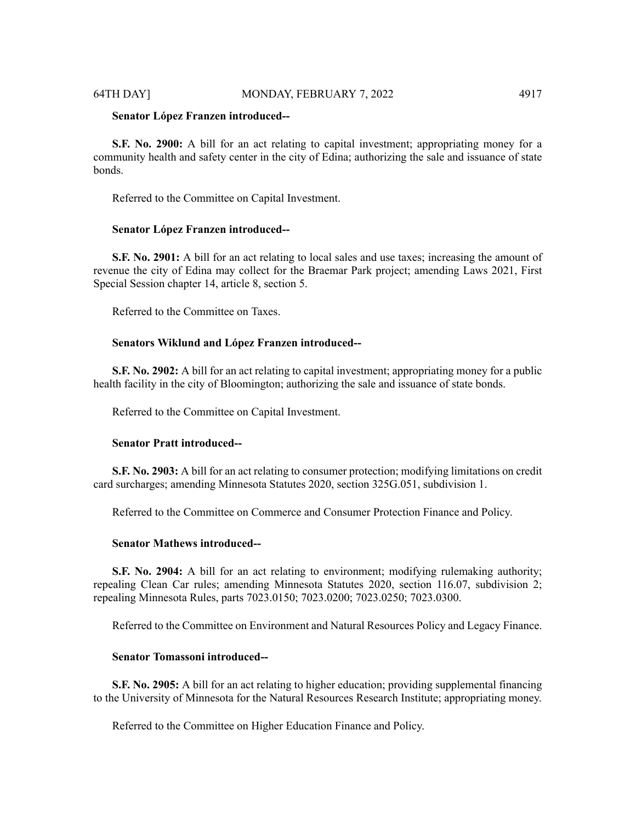### **Senator López Franzen introduced--**

**S.F. No. 2900:** A bill for an act relating to capital investment; appropriating money for a community health and safety center in the city of Edina; authorizing the sale and issuance of state bonds.

Referred to the Committee on Capital Investment.

### **Senator López Franzen introduced--**

**S.F. No. 2901:** A bill for an act relating to local sales and use taxes; increasing the amount of revenue the city of Edina may collect for the Braemar Park project; amending Laws 2021, First Special Session chapter 14, article 8, section 5.

Referred to the Committee on Taxes.

# **Senators Wiklund and López Franzen introduced--**

**S.F. No. 2902:** A bill for an act relating to capital investment; appropriating money for a public health facility in the city of Bloomington; authorizing the sale and issuance of state bonds.

Referred to the Committee on Capital Investment.

### **Senator Pratt introduced--**

**S.F. No. 2903:** A bill for an act relating to consumer protection; modifying limitations on credit card surcharges; amending Minnesota Statutes 2020, section 325G.051, subdivision 1.

Referred to the Committee on Commerce and Consumer Protection Finance and Policy.

# **Senator Mathews introduced--**

**S.F. No. 2904:** A bill for an act relating to environment; modifying rulemaking authority; repealing Clean Car rules; amending Minnesota Statutes 2020, section 116.07, subdivision 2; repealing Minnesota Rules, parts 7023.0150; 7023.0200; 7023.0250; 7023.0300.

Referred to the Committee on Environment and Natural Resources Policy and Legacy Finance.

# **Senator Tomassoni introduced--**

**S.F. No. 2905:** A bill for an act relating to higher education; providing supplemental financing to the University of Minnesota for the Natural Resources Research Institute; appropriating money.

Referred to the Committee on Higher Education Finance and Policy.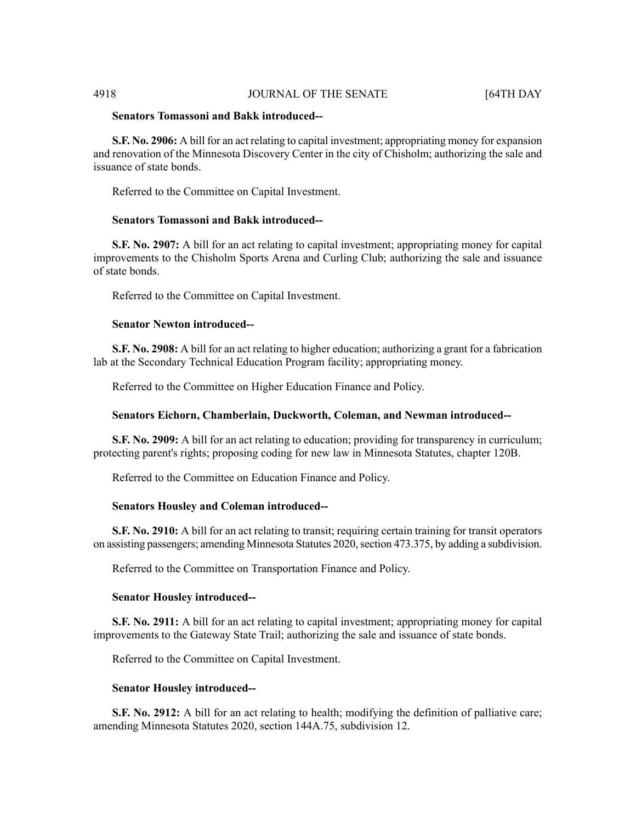# **Senators Tomassoni and Bakk introduced--**

**S.F. No. 2906:** A bill for an act relating to capital investment; appropriating money for expansion and renovation of the Minnesota Discovery Center in the city of Chisholm; authorizing the sale and issuance of state bonds.

Referred to the Committee on Capital Investment.

# **Senators Tomassoni and Bakk introduced--**

**S.F. No. 2907:** A bill for an act relating to capital investment; appropriating money for capital improvements to the Chisholm Sports Arena and Curling Club; authorizing the sale and issuance of state bonds.

Referred to the Committee on Capital Investment.

### **Senator Newton introduced--**

**S.F. No. 2908:** A bill for an act relating to higher education; authorizing a grant for a fabrication lab at the Secondary Technical Education Program facility; appropriating money.

Referred to the Committee on Higher Education Finance and Policy.

### **Senators Eichorn, Chamberlain, Duckworth, Coleman, and Newman introduced--**

**S.F. No. 2909:** A bill for an act relating to education; providing for transparency in curriculum; protecting parent's rights; proposing coding for new law in Minnesota Statutes, chapter 120B.

Referred to the Committee on Education Finance and Policy.

### **Senators Housley and Coleman introduced--**

**S.F. No. 2910:** A bill for an act relating to transit; requiring certain training for transit operators on assisting passengers; amending Minnesota Statutes 2020, section 473.375, by adding a subdivision.

Referred to the Committee on Transportation Finance and Policy.

### **Senator Housley introduced--**

**S.F. No. 2911:** A bill for an act relating to capital investment; appropriating money for capital improvements to the Gateway State Trail; authorizing the sale and issuance of state bonds.

Referred to the Committee on Capital Investment.

### **Senator Housley introduced--**

**S.F. No. 2912:** A bill for an act relating to health; modifying the definition of palliative care; amending Minnesota Statutes 2020, section 144A.75, subdivision 12.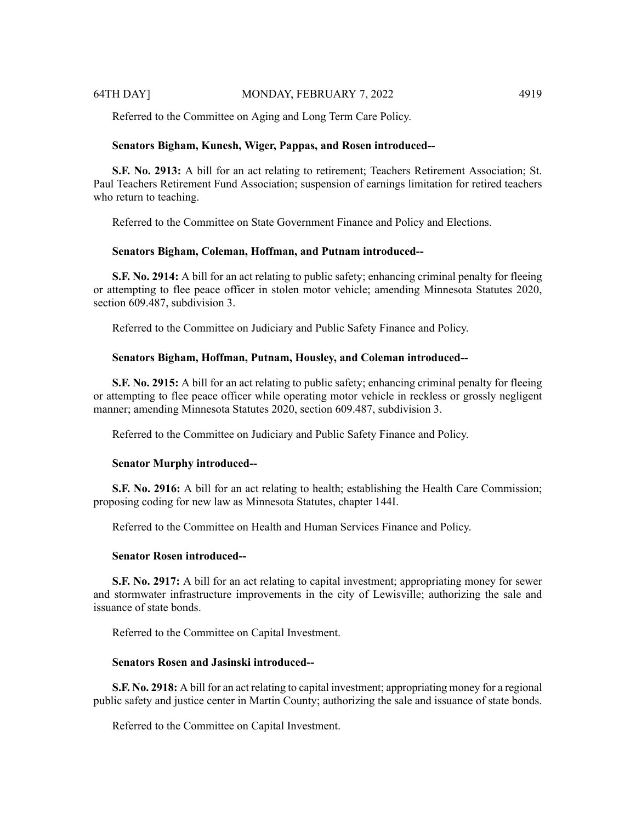Referred to the Committee on Aging and Long Term Care Policy.

### **Senators Bigham, Kunesh, Wiger, Pappas, and Rosen introduced--**

**S.F. No. 2913:** A bill for an act relating to retirement; Teachers Retirement Association; St. Paul Teachers Retirement Fund Association; suspension of earnings limitation for retired teachers who return to teaching.

Referred to the Committee on State Government Finance and Policy and Elections.

### **Senators Bigham, Coleman, Hoffman, and Putnam introduced--**

**S.F. No. 2914:** A bill for an act relating to public safety; enhancing criminal penalty for fleeing or attempting to flee peace officer in stolen motor vehicle; amending Minnesota Statutes 2020, section 609.487, subdivision 3.

Referred to the Committee on Judiciary and Public Safety Finance and Policy.

### **Senators Bigham, Hoffman, Putnam, Housley, and Coleman introduced--**

**S.F. No. 2915:** A bill for an act relating to public safety; enhancing criminal penalty for fleeing or attempting to flee peace officer while operating motor vehicle in reckless or grossly negligent manner; amending Minnesota Statutes 2020, section 609.487, subdivision 3.

Referred to the Committee on Judiciary and Public Safety Finance and Policy.

### **Senator Murphy introduced--**

**S.F.** No. 2916: A bill for an act relating to health; establishing the Health Care Commission; proposing coding for new law as Minnesota Statutes, chapter 144I.

Referred to the Committee on Health and Human Services Finance and Policy.

# **Senator Rosen introduced--**

**S.F. No. 2917:** A bill for an act relating to capital investment; appropriating money for sewer and stormwater infrastructure improvements in the city of Lewisville; authorizing the sale and issuance of state bonds.

Referred to the Committee on Capital Investment.

# **Senators Rosen and Jasinski introduced--**

**S.F. No. 2918:** A bill for an act relating to capital investment; appropriating money for a regional public safety and justice center in Martin County; authorizing the sale and issuance of state bonds.

Referred to the Committee on Capital Investment.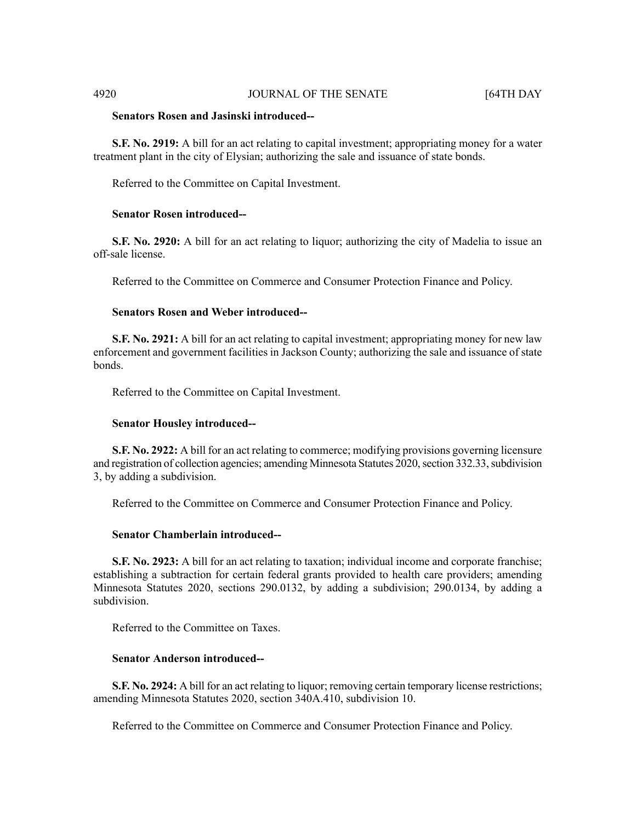# **Senators Rosen and Jasinski introduced--**

**S.F. No. 2919:** A bill for an act relating to capital investment; appropriating money for a water treatment plant in the city of Elysian; authorizing the sale and issuance of state bonds.

Referred to the Committee on Capital Investment.

### **Senator Rosen introduced--**

**S.F. No. 2920:** A bill for an act relating to liquor; authorizing the city of Madelia to issue an off-sale license.

Referred to the Committee on Commerce and Consumer Protection Finance and Policy.

### **Senators Rosen and Weber introduced--**

**S.F. No. 2921:** A bill for an act relating to capital investment; appropriating money for new law enforcement and government facilities in Jackson County; authorizing the sale and issuance of state bonds.

Referred to the Committee on Capital Investment.

### **Senator Housley introduced--**

**S.F. No. 2922:** A bill for an act relating to commerce; modifying provisions governing licensure and registration of collection agencies; amending Minnesota Statutes 2020, section 332.33, subdivision 3, by adding a subdivision.

Referred to the Committee on Commerce and Consumer Protection Finance and Policy.

### **Senator Chamberlain introduced--**

**S.F. No. 2923:** A bill for an act relating to taxation; individual income and corporate franchise; establishing a subtraction for certain federal grants provided to health care providers; amending Minnesota Statutes 2020, sections 290.0132, by adding a subdivision; 290.0134, by adding a subdivision.

Referred to the Committee on Taxes.

# **Senator Anderson introduced--**

**S.F.** No. 2924: A bill for an act relating to liquor; removing certain temporary license restrictions; amending Minnesota Statutes 2020, section 340A.410, subdivision 10.

Referred to the Committee on Commerce and Consumer Protection Finance and Policy.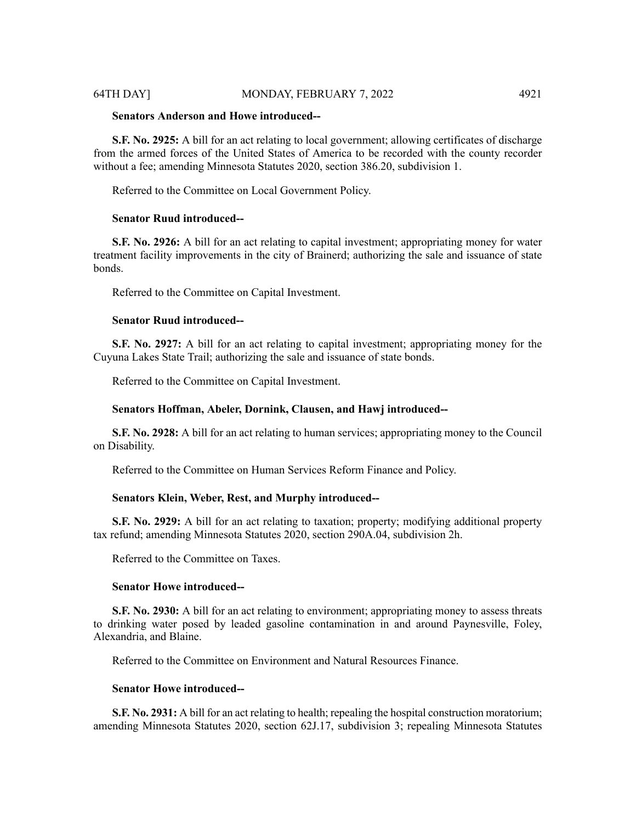# 64TH DAY] MONDAY, FEBRUARY 7, 2022 4921

# **Senators Anderson and Howe introduced--**

**S.F. No. 2925:** A bill for an act relating to local government; allowing certificates of discharge from the armed forces of the United States of America to be recorded with the county recorder without a fee; amending Minnesota Statutes 2020, section 386.20, subdivision 1.

Referred to the Committee on Local Government Policy.

### **Senator Ruud introduced--**

**S.F. No. 2926:** A bill for an act relating to capital investment; appropriating money for water treatment facility improvements in the city of Brainerd; authorizing the sale and issuance of state bonds.

Referred to the Committee on Capital Investment.

### **Senator Ruud introduced--**

**S.F. No. 2927:** A bill for an act relating to capital investment; appropriating money for the Cuyuna Lakes State Trail; authorizing the sale and issuance of state bonds.

Referred to the Committee on Capital Investment.

### **Senators Hoffman, Abeler, Dornink, Clausen, and Hawj introduced--**

**S.F. No. 2928:** A bill for an act relating to human services; appropriating money to the Council on Disability.

Referred to the Committee on Human Services Reform Finance and Policy.

# **Senators Klein, Weber, Rest, and Murphy introduced--**

**S.F. No. 2929:** A bill for an act relating to taxation; property; modifying additional property tax refund; amending Minnesota Statutes 2020, section 290A.04, subdivision 2h.

Referred to the Committee on Taxes.

### **Senator Howe introduced--**

**S.F. No. 2930:** A bill for an act relating to environment; appropriating money to assess threats to drinking water posed by leaded gasoline contamination in and around Paynesville, Foley, Alexandria, and Blaine.

Referred to the Committee on Environment and Natural Resources Finance.

### **Senator Howe introduced--**

**S.F. No. 2931:** A bill for an act relating to health; repealing the hospital construction moratorium; amending Minnesota Statutes 2020, section 62J.17, subdivision 3; repealing Minnesota Statutes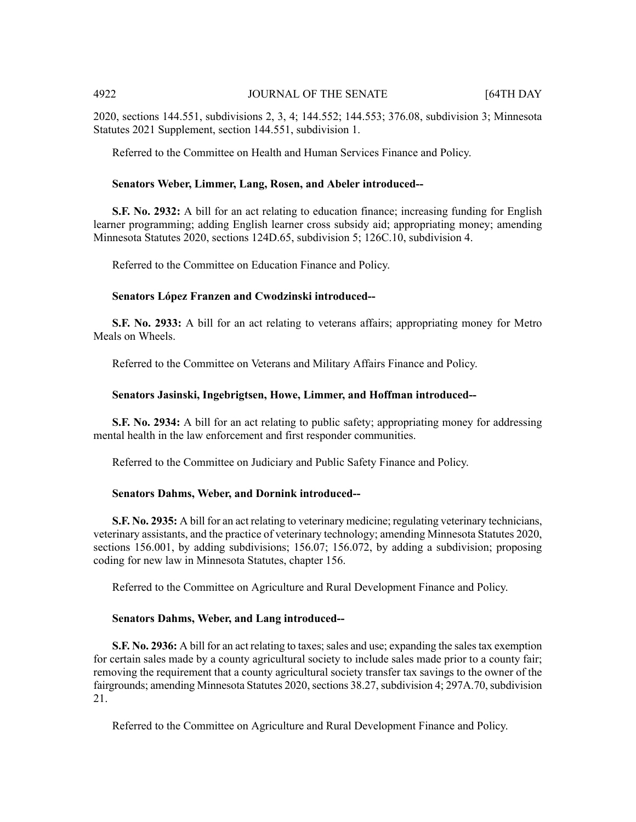2020, sections 144.551, subdivisions 2, 3, 4; 144.552; 144.553; 376.08, subdivision 3; Minnesota Statutes 2021 Supplement, section 144.551, subdivision 1.

Referred to the Committee on Health and Human Services Finance and Policy.

### **Senators Weber, Limmer, Lang, Rosen, and Abeler introduced--**

**S.F. No. 2932:** A bill for an act relating to education finance; increasing funding for English learner programming; adding English learner cross subsidy aid; appropriating money; amending Minnesota Statutes 2020, sections 124D.65, subdivision 5; 126C.10, subdivision 4.

Referred to the Committee on Education Finance and Policy.

### **Senators López Franzen and Cwodzinski introduced--**

**S.F. No. 2933:** A bill for an act relating to veterans affairs; appropriating money for Metro Meals on Wheels.

Referred to the Committee on Veterans and Military Affairs Finance and Policy.

### **Senators Jasinski, Ingebrigtsen, Howe, Limmer, and Hoffman introduced--**

**S.F. No. 2934:** A bill for an act relating to public safety; appropriating money for addressing mental health in the law enforcement and first responder communities.

Referred to the Committee on Judiciary and Public Safety Finance and Policy.

### **Senators Dahms, Weber, and Dornink introduced--**

**S.F. No. 2935:** A bill for an act relating to veterinary medicine; regulating veterinary technicians, veterinary assistants, and the practice of veterinary technology; amending Minnesota Statutes 2020, sections 156.001, by adding subdivisions; 156.07; 156.072, by adding a subdivision; proposing coding for new law in Minnesota Statutes, chapter 156.

Referred to the Committee on Agriculture and Rural Development Finance and Policy.

### **Senators Dahms, Weber, and Lang introduced--**

**S.F. No. 2936:** A bill for an act relating to taxes; sales and use; expanding the sales tax exemption for certain sales made by a county agricultural society to include sales made prior to a county fair; removing the requirement that a county agricultural society transfer tax savings to the owner of the fairgrounds; amending Minnesota Statutes 2020, sections 38.27, subdivision 4; 297A.70, subdivision 21.

Referred to the Committee on Agriculture and Rural Development Finance and Policy.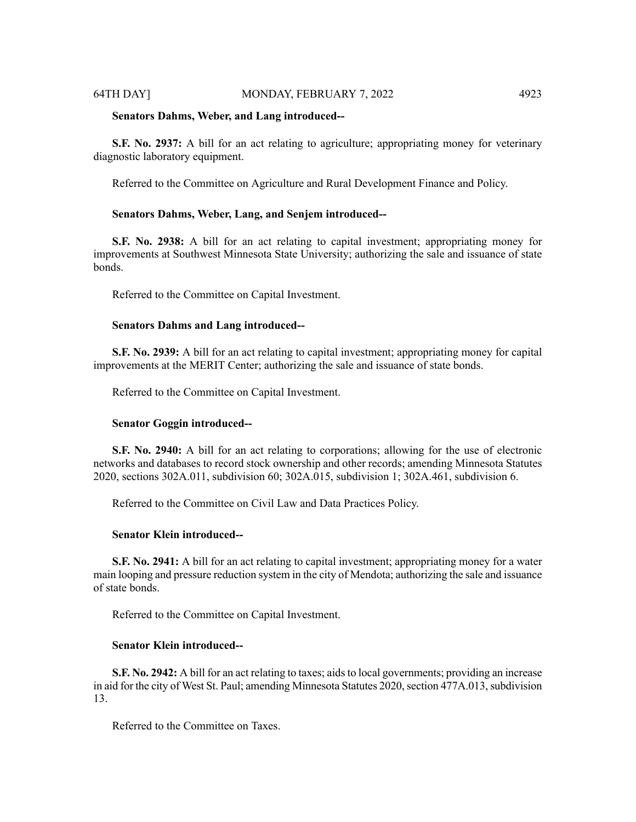### 64TH DAY] MONDAY, FEBRUARY 7, 2022 4923

### **Senators Dahms, Weber, and Lang introduced--**

**S.F. No. 2937:** A bill for an act relating to agriculture; appropriating money for veterinary diagnostic laboratory equipment.

Referred to the Committee on Agriculture and Rural Development Finance and Policy.

# **Senators Dahms, Weber, Lang, and Senjem introduced--**

**S.F. No. 2938:** A bill for an act relating to capital investment; appropriating money for improvements at Southwest Minnesota State University; authorizing the sale and issuance of state bonds.

Referred to the Committee on Capital Investment.

### **Senators Dahms and Lang introduced--**

**S.F. No. 2939:** A bill for an act relating to capital investment; appropriating money for capital improvements at the MERIT Center; authorizing the sale and issuance of state bonds.

Referred to the Committee on Capital Investment.

### **Senator Goggin introduced--**

**S.F. No. 2940:** A bill for an act relating to corporations; allowing for the use of electronic networks and databases to record stock ownership and other records; amending Minnesota Statutes 2020, sections 302A.011, subdivision 60; 302A.015, subdivision 1; 302A.461, subdivision 6.

Referred to the Committee on Civil Law and Data Practices Policy.

# **Senator Klein introduced--**

**S.F. No. 2941:** A bill for an act relating to capital investment; appropriating money for a water main looping and pressure reduction system in the city of Mendota; authorizing the sale and issuance of state bonds.

Referred to the Committee on Capital Investment.

# **Senator Klein introduced--**

**S.F. No. 2942:** A bill for an act relating to taxes; aids to local governments; providing an increase in aid for the city of West St. Paul; amending Minnesota Statutes 2020, section 477A.013, subdivision 13.

Referred to the Committee on Taxes.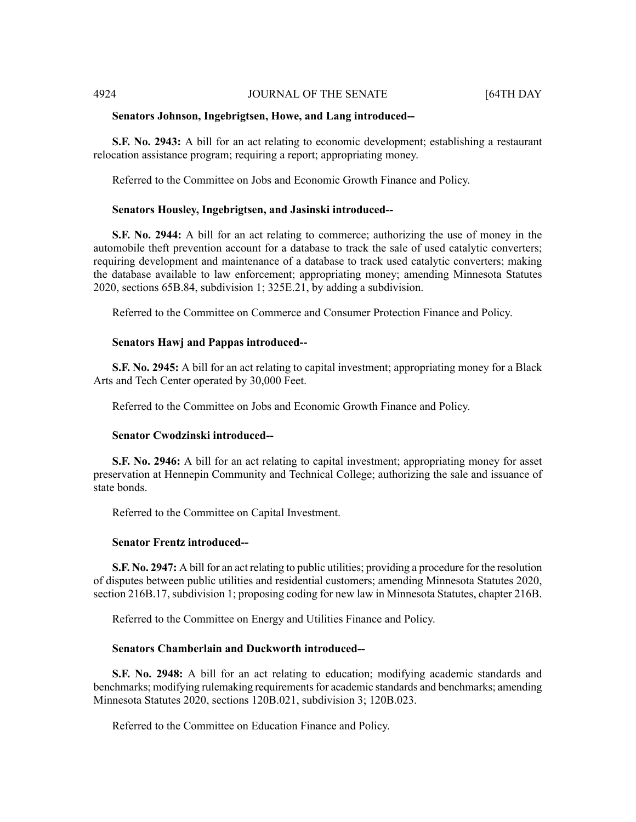### **Senators Johnson, Ingebrigtsen, Howe, and Lang introduced--**

**S.F. No. 2943:** A bill for an act relating to economic development; establishing a restaurant relocation assistance program; requiring a report; appropriating money.

Referred to the Committee on Jobs and Economic Growth Finance and Policy.

### **Senators Housley, Ingebrigtsen, and Jasinski introduced--**

**S.F. No. 2944:** A bill for an act relating to commerce; authorizing the use of money in the automobile theft prevention account for a database to track the sale of used catalytic converters; requiring development and maintenance of a database to track used catalytic converters; making the database available to law enforcement; appropriating money; amending Minnesota Statutes 2020, sections 65B.84, subdivision 1; 325E.21, by adding a subdivision.

Referred to the Committee on Commerce and Consumer Protection Finance and Policy.

### **Senators Hawj and Pappas introduced--**

**S.F. No. 2945:** A bill for an act relating to capital investment; appropriating money for a Black Arts and Tech Center operated by 30,000 Feet.

Referred to the Committee on Jobs and Economic Growth Finance and Policy.

### **Senator Cwodzinski introduced--**

**S.F. No. 2946:** A bill for an act relating to capital investment; appropriating money for asset preservation at Hennepin Community and Technical College; authorizing the sale and issuance of state bonds.

Referred to the Committee on Capital Investment.

### **Senator Frentz introduced--**

**S.F. No. 2947:** A bill for an act relating to public utilities; providing a procedure for the resolution of disputes between public utilities and residential customers; amending Minnesota Statutes 2020, section 216B.17, subdivision 1; proposing coding for new law in Minnesota Statutes, chapter 216B.

Referred to the Committee on Energy and Utilities Finance and Policy.

### **Senators Chamberlain and Duckworth introduced--**

**S.F. No. 2948:** A bill for an act relating to education; modifying academic standards and benchmarks; modifying rulemaking requirements for academic standards and benchmarks; amending Minnesota Statutes 2020, sections 120B.021, subdivision 3; 120B.023.

Referred to the Committee on Education Finance and Policy.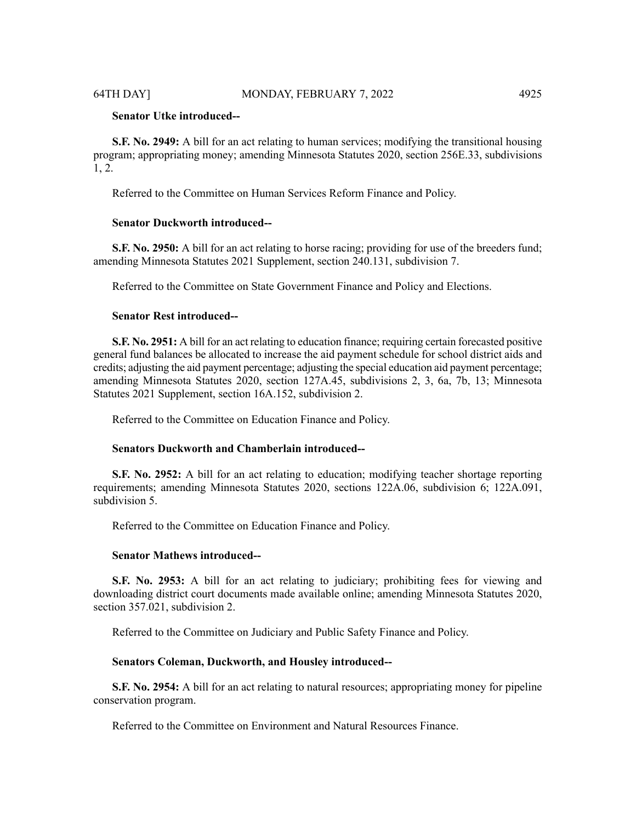# **Senator Utke introduced--**

**S.F. No. 2949:** A bill for an act relating to human services; modifying the transitional housing program; appropriating money; amending Minnesota Statutes 2020, section 256E.33, subdivisions 1, 2.

Referred to the Committee on Human Services Reform Finance and Policy.

# **Senator Duckworth introduced--**

**S.F. No. 2950:** A bill for an act relating to horse racing; providing for use of the breeders fund; amending Minnesota Statutes 2021 Supplement, section 240.131, subdivision 7.

Referred to the Committee on State Government Finance and Policy and Elections.

# **Senator Rest introduced--**

**S.F. No. 2951:** A bill for an act relating to education finance; requiring certain forecasted positive general fund balances be allocated to increase the aid payment schedule for school district aids and credits; adjusting the aid payment percentage; adjusting the special education aid payment percentage; amending Minnesota Statutes 2020, section 127A.45, subdivisions 2, 3, 6a, 7b, 13; Minnesota Statutes 2021 Supplement, section 16A.152, subdivision 2.

Referred to the Committee on Education Finance and Policy.

### **Senators Duckworth and Chamberlain introduced--**

**S.F. No. 2952:** A bill for an act relating to education; modifying teacher shortage reporting requirements; amending Minnesota Statutes 2020, sections 122A.06, subdivision 6; 122A.091, subdivision 5.

Referred to the Committee on Education Finance and Policy.

### **Senator Mathews introduced--**

**S.F. No. 2953:** A bill for an act relating to judiciary; prohibiting fees for viewing and downloading district court documents made available online; amending Minnesota Statutes 2020, section 357.021, subdivision 2.

Referred to the Committee on Judiciary and Public Safety Finance and Policy.

# **Senators Coleman, Duckworth, and Housley introduced--**

**S.F. No. 2954:** A bill for an act relating to natural resources; appropriating money for pipeline conservation program.

Referred to the Committee on Environment and Natural Resources Finance.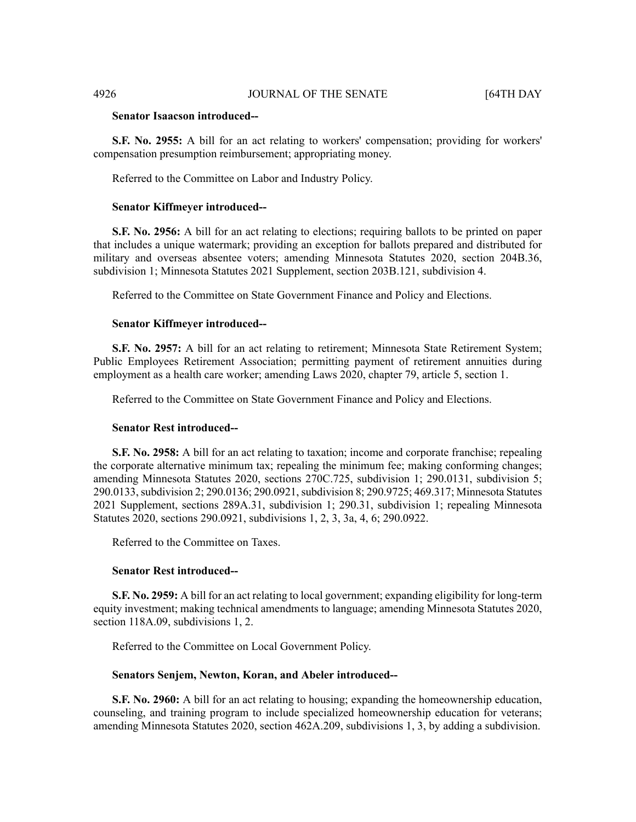# **Senator Isaacson introduced--**

**S.F. No. 2955:** A bill for an act relating to workers' compensation; providing for workers' compensation presumption reimbursement; appropriating money.

Referred to the Committee on Labor and Industry Policy.

### **Senator Kiffmeyer introduced--**

**S.F. No. 2956:** A bill for an act relating to elections; requiring ballots to be printed on paper that includes a unique watermark; providing an exception for ballots prepared and distributed for military and overseas absentee voters; amending Minnesota Statutes 2020, section 204B.36, subdivision 1; Minnesota Statutes 2021 Supplement, section 203B.121, subdivision 4.

Referred to the Committee on State Government Finance and Policy and Elections.

### **Senator Kiffmeyer introduced--**

**S.F. No. 2957:** A bill for an act relating to retirement; Minnesota State Retirement System; Public Employees Retirement Association; permitting payment of retirement annuities during employment as a health care worker; amending Laws 2020, chapter 79, article 5, section 1.

Referred to the Committee on State Government Finance and Policy and Elections.

# **Senator Rest introduced--**

**S.F. No. 2958:** A bill for an act relating to taxation; income and corporate franchise; repealing the corporate alternative minimum tax; repealing the minimum fee; making conforming changes; amending Minnesota Statutes 2020, sections 270C.725, subdivision 1; 290.0131, subdivision 5; 290.0133, subdivision 2; 290.0136; 290.0921, subdivision 8; 290.9725; 469.317; Minnesota Statutes 2021 Supplement, sections 289A.31, subdivision 1; 290.31, subdivision 1; repealing Minnesota Statutes 2020, sections 290.0921, subdivisions 1, 2, 3, 3a, 4, 6; 290.0922.

Referred to the Committee on Taxes.

# **Senator Rest introduced--**

**S.F. No. 2959:** A bill for an act relating to local government; expanding eligibility for long-term equity investment; making technical amendments to language; amending Minnesota Statutes 2020, section 118A.09, subdivisions 1, 2.

Referred to the Committee on Local Government Policy.

### **Senators Senjem, Newton, Koran, and Abeler introduced--**

**S.F. No. 2960:** A bill for an act relating to housing; expanding the homeownership education, counseling, and training program to include specialized homeownership education for veterans; amending Minnesota Statutes 2020, section 462A.209, subdivisions 1, 3, by adding a subdivision.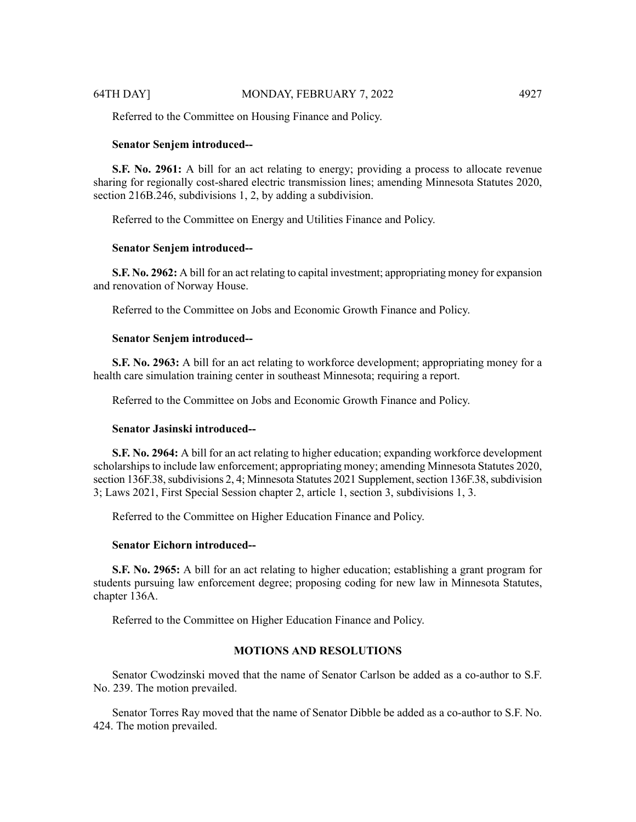Referred to the Committee on Housing Finance and Policy.

### **Senator Senjem introduced--**

**S.F. No. 2961:** A bill for an act relating to energy; providing a process to allocate revenue sharing for regionally cost-shared electric transmission lines; amending Minnesota Statutes 2020, section 216B.246, subdivisions 1, 2, by adding a subdivision.

Referred to the Committee on Energy and Utilities Finance and Policy.

### **Senator Senjem introduced--**

**S.F. No. 2962:** A bill for an act relating to capital investment; appropriating money for expansion and renovation of Norway House.

Referred to the Committee on Jobs and Economic Growth Finance and Policy.

### **Senator Senjem introduced--**

**S.F. No. 2963:** A bill for an act relating to workforce development; appropriating money for a health care simulation training center in southeast Minnesota; requiring a report.

Referred to the Committee on Jobs and Economic Growth Finance and Policy.

# **Senator Jasinski introduced--**

**S.F. No. 2964:** A bill for an act relating to higher education; expanding workforce development scholarships to include law enforcement; appropriating money; amending Minnesota Statutes 2020, section 136F.38, subdivisions 2, 4; Minnesota Statutes 2021 Supplement, section 136F.38, subdivision 3; Laws 2021, First Special Session chapter 2, article 1, section 3, subdivisions 1, 3.

Referred to the Committee on Higher Education Finance and Policy.

### **Senator Eichorn introduced--**

**S.F. No. 2965:** A bill for an act relating to higher education; establishing a grant program for students pursuing law enforcement degree; proposing coding for new law in Minnesota Statutes, chapter 136A.

Referred to the Committee on Higher Education Finance and Policy.

# **MOTIONS AND RESOLUTIONS**

Senator Cwodzinski moved that the name of Senator Carlson be added as a co-author to S.F. No. 239. The motion prevailed.

Senator Torres Ray moved that the name of Senator Dibble be added as a co-author to S.F. No. 424. The motion prevailed.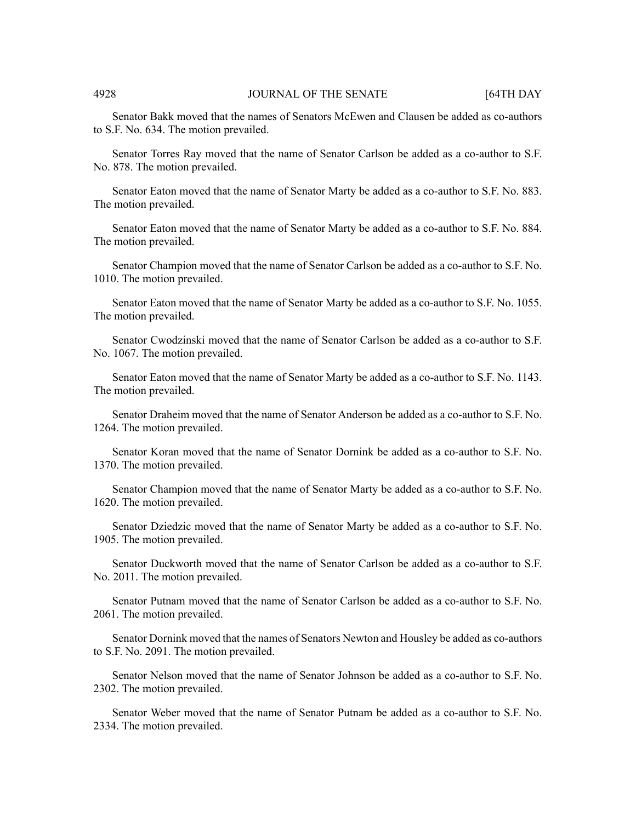Senator Bakk moved that the names of Senators McEwen and Clausen be added as co-authors to S.F. No. 634. The motion prevailed.

Senator Torres Ray moved that the name of Senator Carlson be added as a co-author to S.F. No. 878. The motion prevailed.

Senator Eaton moved that the name of Senator Marty be added as a co-author to S.F. No. 883. The motion prevailed.

Senator Eaton moved that the name of Senator Marty be added as a co-author to S.F. No. 884. The motion prevailed.

Senator Champion moved that the name of Senator Carlson be added as a co-author to S.F. No. 1010. The motion prevailed.

Senator Eaton moved that the name of Senator Marty be added as a co-author to S.F. No. 1055. The motion prevailed.

Senator Cwodzinski moved that the name of Senator Carlson be added as a co-author to S.F. No. 1067. The motion prevailed.

Senator Eaton moved that the name of Senator Marty be added as a co-author to S.F. No. 1143. The motion prevailed.

Senator Draheim moved that the name of Senator Anderson be added as a co-author to S.F. No. 1264. The motion prevailed.

Senator Koran moved that the name of Senator Dornink be added as a co-author to S.F. No. 1370. The motion prevailed.

Senator Champion moved that the name of Senator Marty be added as a co-author to S.F. No. 1620. The motion prevailed.

Senator Dziedzic moved that the name of Senator Marty be added as a co-author to S.F. No. 1905. The motion prevailed.

Senator Duckworth moved that the name of Senator Carlson be added as a co-author to S.F. No. 2011. The motion prevailed.

Senator Putnam moved that the name of Senator Carlson be added as a co-author to S.F. No. 2061. The motion prevailed.

Senator Dornink moved that the names of Senators Newton and Housley be added as co-authors to S.F. No. 2091. The motion prevailed.

Senator Nelson moved that the name of Senator Johnson be added as a co-author to S.F. No. 2302. The motion prevailed.

Senator Weber moved that the name of Senator Putnam be added as a co-author to S.F. No. 2334. The motion prevailed.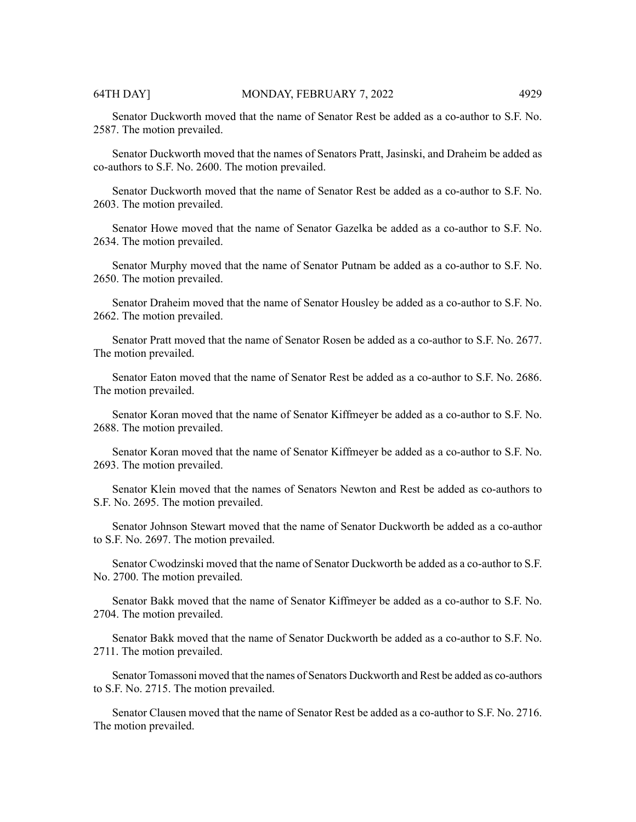Senator Duckworth moved that the name of Senator Rest be added as a co-author to S.F. No. 2587. The motion prevailed.

Senator Duckworth moved that the names of Senators Pratt, Jasinski, and Draheim be added as co-authors to S.F. No. 2600. The motion prevailed.

Senator Duckworth moved that the name of Senator Rest be added as a co-author to S.F. No. 2603. The motion prevailed.

Senator Howe moved that the name of Senator Gazelka be added as a co-author to S.F. No. 2634. The motion prevailed.

Senator Murphy moved that the name of Senator Putnam be added as a co-author to S.F. No. 2650. The motion prevailed.

Senator Draheim moved that the name of Senator Housley be added as a co-author to S.F. No. 2662. The motion prevailed.

Senator Pratt moved that the name of Senator Rosen be added as a co-author to S.F. No. 2677. The motion prevailed.

Senator Eaton moved that the name of Senator Rest be added as a co-author to S.F. No. 2686. The motion prevailed.

Senator Koran moved that the name of Senator Kiffmeyer be added as a co-author to S.F. No. 2688. The motion prevailed.

Senator Koran moved that the name of Senator Kiffmeyer be added as a co-author to S.F. No. 2693. The motion prevailed.

Senator Klein moved that the names of Senators Newton and Rest be added as co-authors to S.F. No. 2695. The motion prevailed.

Senator Johnson Stewart moved that the name of Senator Duckworth be added as a co-author to S.F. No. 2697. The motion prevailed.

Senator Cwodzinski moved that the name of Senator Duckworth be added as a co-author to S.F. No. 2700. The motion prevailed.

Senator Bakk moved that the name of Senator Kiffmeyer be added as a co-author to S.F. No. 2704. The motion prevailed.

Senator Bakk moved that the name of Senator Duckworth be added as a co-author to S.F. No. 2711. The motion prevailed.

Senator Tomassoni moved that the names of Senators Duckworth and Rest be added as co-authors to S.F. No. 2715. The motion prevailed.

Senator Clausen moved that the name of Senator Rest be added as a co-author to S.F. No. 2716. The motion prevailed.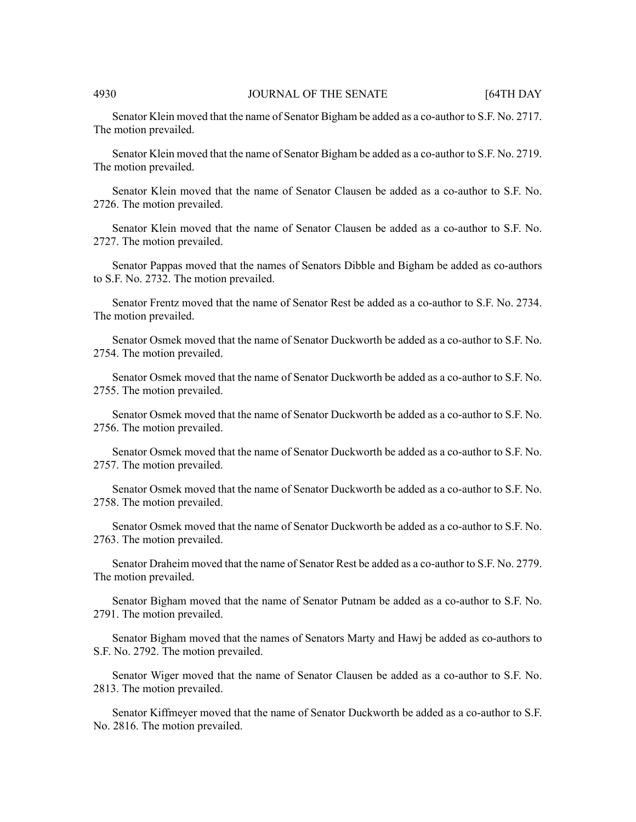Senator Klein moved that the name of Senator Bigham be added as a co-author to S.F. No. 2717. The motion prevailed.

Senator Klein moved that the name of Senator Bigham be added as a co-author to S.F. No. 2719. The motion prevailed.

Senator Klein moved that the name of Senator Clausen be added as a co-author to S.F. No. 2726. The motion prevailed.

Senator Klein moved that the name of Senator Clausen be added as a co-author to S.F. No. 2727. The motion prevailed.

Senator Pappas moved that the names of Senators Dibble and Bigham be added as co-authors to S.F. No. 2732. The motion prevailed.

Senator Frentz moved that the name of Senator Rest be added as a co-author to S.F. No. 2734. The motion prevailed.

Senator Osmek moved that the name of Senator Duckworth be added as a co-author to S.F. No. 2754. The motion prevailed.

Senator Osmek moved that the name of Senator Duckworth be added as a co-author to S.F. No. 2755. The motion prevailed.

Senator Osmek moved that the name of Senator Duckworth be added as a co-author to S.F. No. 2756. The motion prevailed.

Senator Osmek moved that the name of Senator Duckworth be added as a co-author to S.F. No. 2757. The motion prevailed.

Senator Osmek moved that the name of Senator Duckworth be added as a co-author to S.F. No. 2758. The motion prevailed.

Senator Osmek moved that the name of Senator Duckworth be added as a co-author to S.F. No. 2763. The motion prevailed.

Senator Draheim moved that the name of Senator Rest be added as a co-author to S.F. No. 2779. The motion prevailed.

Senator Bigham moved that the name of Senator Putnam be added as a co-author to S.F. No. 2791. The motion prevailed.

Senator Bigham moved that the names of Senators Marty and Hawj be added as co-authors to S.F. No. 2792. The motion prevailed.

Senator Wiger moved that the name of Senator Clausen be added as a co-author to S.F. No. 2813. The motion prevailed.

Senator Kiffmeyer moved that the name of Senator Duckworth be added as a co-author to S.F. No. 2816. The motion prevailed.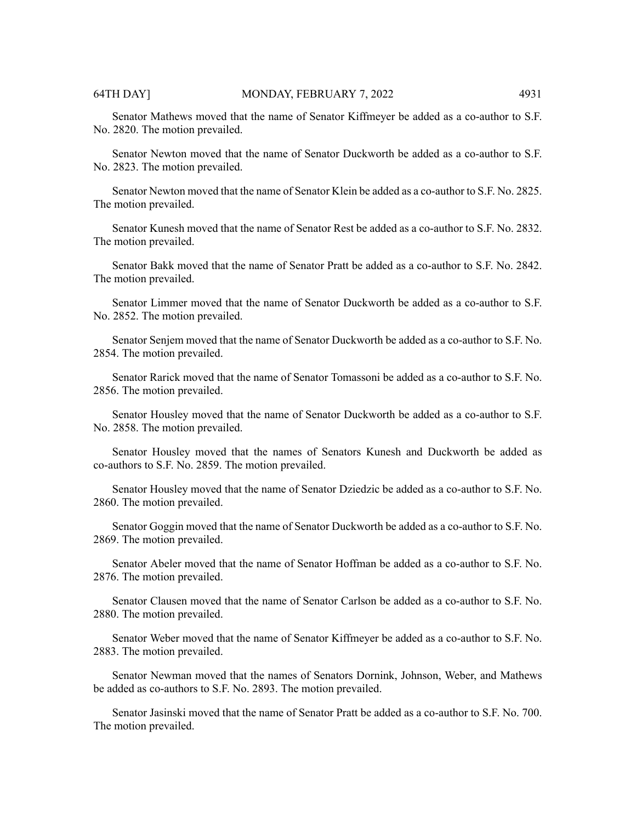Senator Mathews moved that the name of Senator Kiffmeyer be added as a co-author to S.F. No. 2820. The motion prevailed.

Senator Newton moved that the name of Senator Duckworth be added as a co-author to S.F. No. 2823. The motion prevailed.

Senator Newton moved that the name of Senator Klein be added as a co-author to S.F. No. 2825. The motion prevailed.

Senator Kunesh moved that the name of Senator Rest be added as a co-author to S.F. No. 2832. The motion prevailed.

Senator Bakk moved that the name of Senator Pratt be added as a co-author to S.F. No. 2842. The motion prevailed.

Senator Limmer moved that the name of Senator Duckworth be added as a co-author to S.F. No. 2852. The motion prevailed.

Senator Senjem moved that the name of Senator Duckworth be added as a co-author to S.F. No. 2854. The motion prevailed.

Senator Rarick moved that the name of Senator Tomassoni be added as a co-author to S.F. No. 2856. The motion prevailed.

Senator Housley moved that the name of Senator Duckworth be added as a co-author to S.F. No. 2858. The motion prevailed.

Senator Housley moved that the names of Senators Kunesh and Duckworth be added as co-authors to S.F. No. 2859. The motion prevailed.

Senator Housley moved that the name of Senator Dziedzic be added as a co-author to S.F. No. 2860. The motion prevailed.

Senator Goggin moved that the name of Senator Duckworth be added as a co-author to S.F. No. 2869. The motion prevailed.

Senator Abeler moved that the name of Senator Hoffman be added as a co-author to S.F. No. 2876. The motion prevailed.

Senator Clausen moved that the name of Senator Carlson be added as a co-author to S.F. No. 2880. The motion prevailed.

Senator Weber moved that the name of Senator Kiffmeyer be added as a co-author to S.F. No. 2883. The motion prevailed.

Senator Newman moved that the names of Senators Dornink, Johnson, Weber, and Mathews be added as co-authors to S.F. No. 2893. The motion prevailed.

Senator Jasinski moved that the name of Senator Pratt be added as a co-author to S.F. No. 700. The motion prevailed.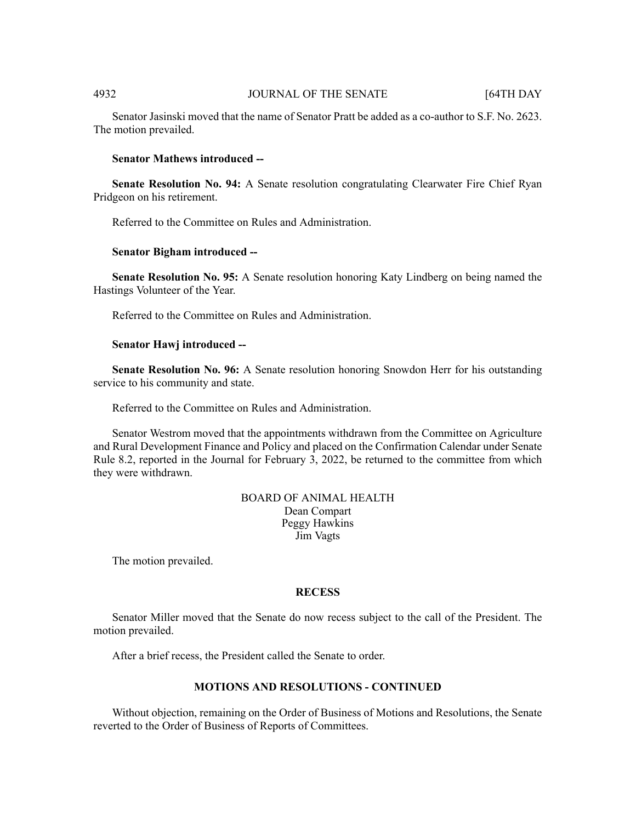Senator Jasinski moved that the name of Senator Pratt be added as a co-author to S.F. No. 2623. The motion prevailed.

### **Senator Mathews introduced --**

**Senate Resolution No. 94:** A Senate resolution congratulating Clearwater Fire Chief Ryan Pridgeon on his retirement.

Referred to the Committee on Rules and Administration.

### **Senator Bigham introduced --**

**Senate Resolution No. 95:** A Senate resolution honoring Katy Lindberg on being named the Hastings Volunteer of the Year.

Referred to the Committee on Rules and Administration.

### **Senator Hawj introduced --**

**Senate Resolution No. 96:** A Senate resolution honoring Snowdon Herr for his outstanding service to his community and state.

Referred to the Committee on Rules and Administration.

Senator Westrom moved that the appointments withdrawn from the Committee on Agriculture and Rural Development Finance and Policy and placed on the Confirmation Calendar under Senate Rule 8.2, reported in the Journal for February  $\overline{3}$ , 2022, be returned to the committee from which they were withdrawn.

> BOARD OF ANIMAL HEALTH Dean Compart Peggy Hawkins Jim Vagts

The motion prevailed.

### **RECESS**

Senator Miller moved that the Senate do now recess subject to the call of the President. The motion prevailed.

After a brief recess, the President called the Senate to order.

### **MOTIONS AND RESOLUTIONS - CONTINUED**

Without objection, remaining on the Order of Business of Motions and Resolutions, the Senate reverted to the Order of Business of Reports of Committees.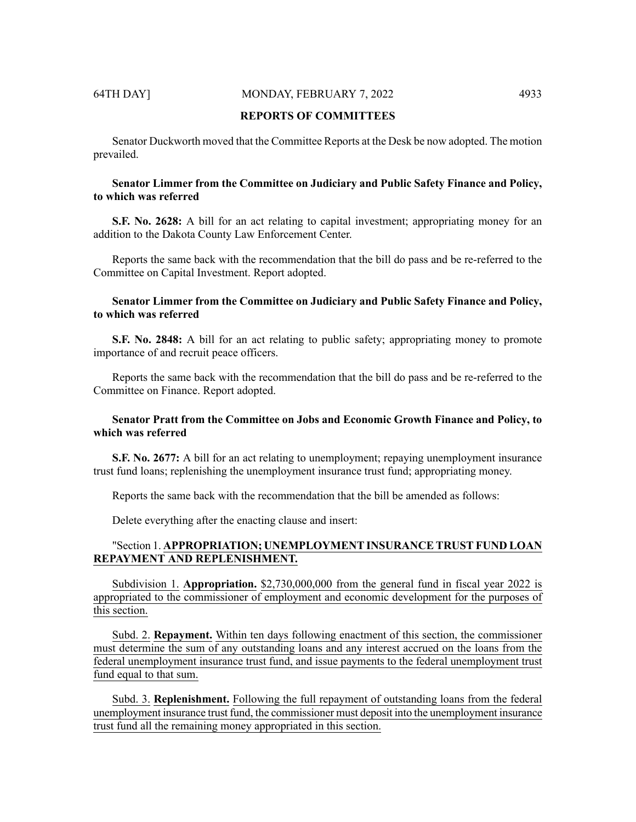# 64TH DAY] MONDAY, FEBRUARY 7, 2022 4933

# **REPORTS OF COMMITTEES**

Senator Duckworth moved that the Committee Reports at the Desk be now adopted. The motion prevailed.

# **Senator Limmer from the Committee on Judiciary and Public Safety Finance and Policy, to which was referred**

**S.F. No. 2628:** A bill for an act relating to capital investment; appropriating money for an addition to the Dakota County Law Enforcement Center.

Reports the same back with the recommendation that the bill do pass and be re-referred to the Committee on Capital Investment. Report adopted.

# **Senator Limmer from the Committee on Judiciary and Public Safety Finance and Policy, to which was referred**

**S.F. No. 2848:** A bill for an act relating to public safety; appropriating money to promote importance of and recruit peace officers.

Reports the same back with the recommendation that the bill do pass and be re-referred to the Committee on Finance. Report adopted.

# **Senator Pratt from the Committee on Jobs and Economic Growth Finance and Policy, to which was referred**

**S.F. No. 2677:** A bill for an act relating to unemployment; repaying unemployment insurance trust fund loans; replenishing the unemployment insurance trust fund; appropriating money.

Reports the same back with the recommendation that the bill be amended as follows:

Delete everything after the enacting clause and insert:

# "Section 1. **APPROPRIATION; UNEMPLOYMENT INSURANCE TRUST FUND LOAN REPAYMENT AND REPLENISHMENT.**

Subdivision 1. **Appropriation.** \$2,730,000,000 from the general fund in fiscal year 2022 is appropriated to the commissioner of employment and economic development for the purposes of this section.

Subd. 2. **Repayment.** Within ten days following enactment of this section, the commissioner must determine the sum of any outstanding loans and any interest accrued on the loans from the federal unemployment insurance trust fund, and issue payments to the federal unemployment trust fund equal to that sum.

Subd. 3. **Replenishment.** Following the full repayment of outstanding loans from the federal unemployment insurance trust fund, the commissioner must deposit into the unemployment insurance trust fund all the remaining money appropriated in this section.